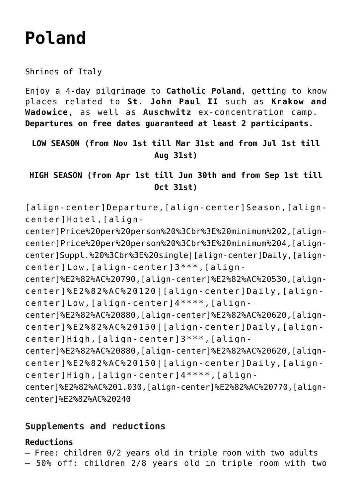# **[Poland](https://rusconiviaggi.com/tour-item/private-pilgrimage-to-poland-4-days/)**

Shrines of Italy

Enjoy a 4-day pilgrimage to **Catholic Poland**, getting to know places related to **St. John Paul II** such as **Krakow and Wadowice**, as well as **Auschwitz** ex-concentration camp. **Departures on free dates guaranteed at least 2 participants.**

**LOW SEASON (from Nov 1st till Mar 31st and from Jul 1st till Aug 31st)**

**HIGH SEASON (from Apr 1st till Jun 30th and from Sep 1st till Oct 31st)**

[align-center]Departure,[align-center]Season,[aligncenter]Hotel,[align-

center]Price%20per%20person%20%3Cbr%3E%20minimum%202,[aligncenter]Price%20per%20person%20%3Cbr%3E%20minimum%204,[aligncenter]Suppl.%20%3Cbr%3E%20single|[align-center]Daily,[aligncenter]Low,[align-center]3\*\*\*,[align-

center]%E2%82%AC%20790,[align-center]%E2%82%AC%20530,[aligncenter]%E2%82%AC%20120|[align-center]Daily,[aligncenter]Low,[align-center]4\*\*\*\*,[align-

center]%E2%82%AC%20880,[align-center]%E2%82%AC%20620,[aligncenter]%E2%82%AC%20150|[align-center]Daily,[aligncenter]High,[align-center]3\*\*\*,[align-

center]%E2%82%AC%20880,[align-center]%E2%82%AC%20620,[aligncenter]%E2%82%AC%20150|[align-center]Daily,[aligncenter]High,[align-center]4\*\*\*\*,[align-

center]%E2%82%AC%201.030,[align-center]%E2%82%AC%20770,[aligncenter]%E2%82%AC%20240

#### **Supplements and reductions**

#### **Reductions**

– Free: children 0/2 years old in triple room with two adults

– 50% off: children 2/8 years old in triple room with two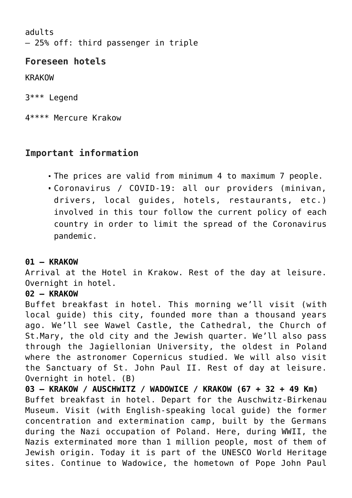adults – 25% off: third passenger in triple

## **Foreseen hotels**

KRAKOW

3\*\*\* Legend

4\*\*\*\* Mercure Krakow

## **Important information**

- The prices are valid from minimum 4 to maximum 7 people.
- Coronavirus / COVID-19: all our providers (minivan, drivers, local guides, hotels, restaurants, etc.) involved in this tour follow the current policy of each country in order to limit the spread of the Coronavirus pandemic.

#### **01 – KRAKOW**

Arrival at the Hotel in Krakow. Rest of the day at leisure. Overnight in hotel.

#### **02 – KRAKOW**

Buffet breakfast in hotel. This morning we'll visit (with local guide) this city, founded more than a thousand years ago. We'll see Wawel Castle, the Cathedral, the Church of St.Mary, the old city and the Jewish quarter. We'll also pass through the Jagiellonian University, the oldest in Poland where the astronomer Copernicus studied. We will also visit the Sanctuary of St. John Paul II. Rest of day at leisure. Overnight in hotel. (B)

**03 – KRAKOW / AUSCHWITZ / WADOWICE / KRAKOW (67 + 32 + 49 Km)** Buffet breakfast in hotel. Depart for the Auschwitz-Birkenau Museum. Visit (with English-speaking local guide) the former concentration and extermination camp, built by the Germans during the Nazi occupation of Poland. Here, during WWII, the Nazis exterminated more than 1 million people, most of them of Jewish origin. Today it is part of the UNESCO World Heritage sites. Continue to Wadowice, the hometown of Pope John Paul